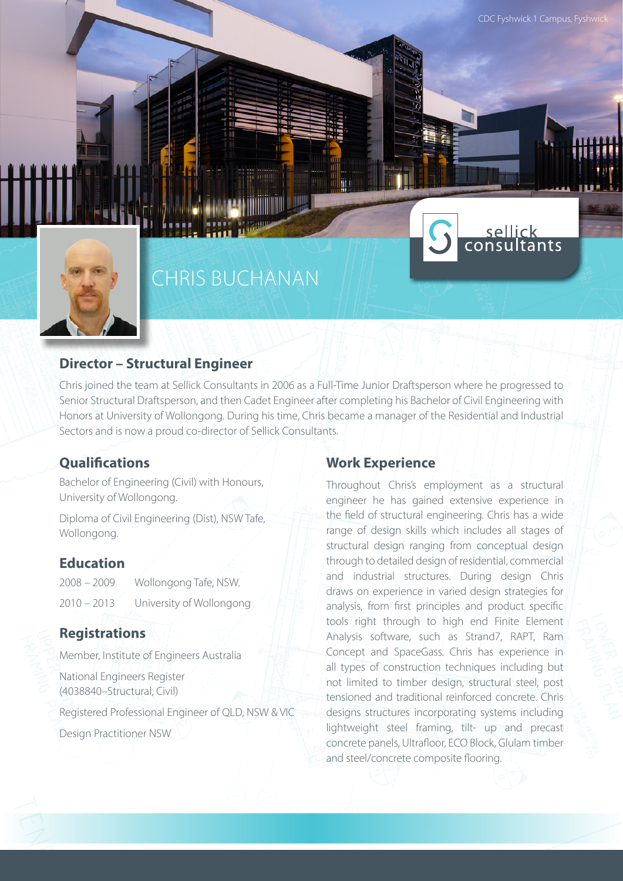

# CHRIS BUCHANAN

#### **Director – Structural Engineer**

Chris joined the team at Sellick Consultants in 2006 as a Full-Time Junior Draftsperson where he progressed to Senior Structural Draftsperson, and then Cadet Engineer after completing his Bachelor of Civil Engineering with Honors at University of Wollongong. During his time, Chris became a manager of the Residential and Industrial Sectors and is now a proud co-director of Sellick Consultants.

ШI

#### **Qualifications**

Bachelor of Engineering (Civil) with Honours, University of Wollongong.

Diploma of Civil Engineering (Dist), NSW Tafe, Wollongong.

#### **Education**

2008 – 2009 Wollongong Tafe, NSW. 2010 – 2013 University of Wollongong

### **Registrations**

Member, Institute of Engineers Australia

National Engineers Register (4038840–Structural, Civil)

Registered Professional Engineer of QLD, NSW & VIC

Design Practitioner NSW

#### **Work Experience**

Throughout Chris's employment as a structural engineer he has gained extensive experience in the field of structural engineering. Chris has a wide range of design skills which includes all stages of structural design ranging from conceptual design through to detailed design of residential, commercial and industrial structures. During design Chris draws on experience in varied design strategies for analysis, from first principles and product specific tools right through to high end Finite Element Analysis software, such as Strand7, RAPT, Ram Concept and SpaceGass. Chris has experience in all types of construction techniques including but not limited to timber design, structural steel, post tensioned and traditional reinforced concrete. Chris designs structures incorporating systems including lightweight steel framing, tilt- up and precast concrete panels, Ultrafloor, ECO Block, Glulam timber and steel/concrete composite flooring.

sellick<br>consultants